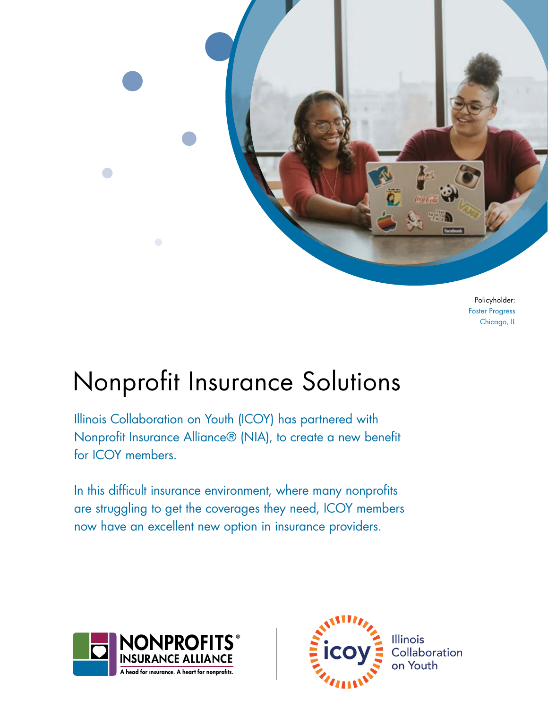

Policyholder: Foster Progress Chicago, IL

# Nonprofit Insurance Solutions

Illinois Collaboration on Youth (ICOY) has partnered with Nonprofit Insurance Alliance® (NIA), to create a new benefit for ICOY members.

In this difficult insurance environment, where many nonprofits are struggling to get the coverages they need, ICOY members now have an excellent new option in insurance providers.



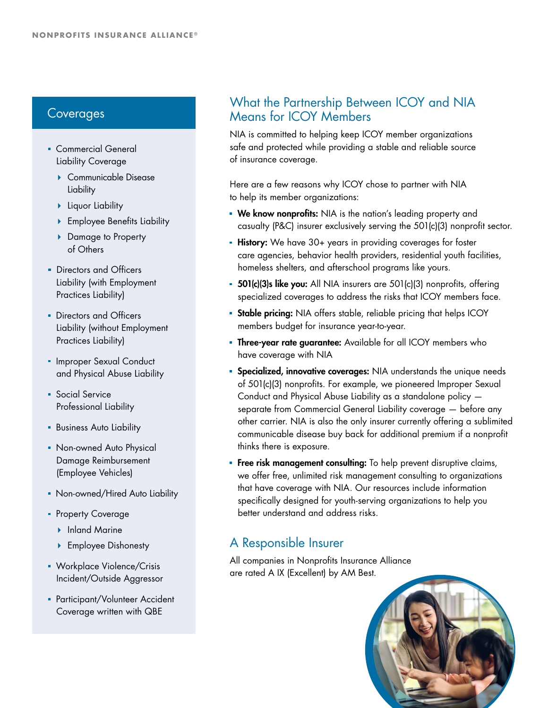- **Commercial General** Liability Coverage
	- Communicable Disease **Liability**
	- **Liquor Liability**
	- ▶ Employee Benefits Liability
	- ▶ Damage to Property of Others
- **Directors and Officers** Liability (with Employment Practices Liability)
- **Directors and Officers** Liability (without Employment Practices Liability)
- **Improper Sexual Conduct** and Physical Abuse Liability
- **Social Service** Professional Liability
- **Business Auto Liability**
- **Non-owned Auto Physical** Damage Reimbursement (Employee Vehicles)
- Non-owned/Hired Auto Liability
- **Property Coverage** 
	- ▶ Inland Marine
	- ▶ Employee Dishonesty
- **Workplace Violence/Crisis** Incident/Outside Aggressor
- **Participant/Volunteer Accident** Coverage written with QBE

# Experiences<br>Coverages Means for ICOY Members<br>Means for ICOY Members Means for ICOY Members

NIA is committed to helping keep ICOY member organizations safe and protected while providing a stable and reliable source of insurance coverage.

Here are a few reasons why ICOY chose to partner with NIA to help its member organizations:

- **We know nonprofits:** NIA is the nation's leading property and casualty (P&C) insurer exclusively serving the 501(c)(3) nonprofit sector.
- **History:** We have 30+ years in providing coverages for foster care agencies, behavior health providers, residential youth facilities, homeless shelters, and afterschool programs like yours.
- **501(c)(3)s like you:** All NIA insurers are  $501(c)$ (3) nonprofits, offering specialized coverages to address the risks that ICOY members face.
- **Stable pricing:** NIA offers stable, reliable pricing that helps ICOY members budget for insurance year-to-year.
- **Three-year rate guarantee:** Available for all ICOY members who have coverage with NIA
- **Specialized, innovative coverages:** NIA understands the unique needs of 501(c)(3) nonprofits. For example, we pioneered Improper Sexual Conduct and Physical Abuse Liability as a standalone policy separate from Commercial General Liability coverage — before any other carrier. NIA is also the only insurer currently offering a sublimited communicable disease buy back for additional premium if a nonprofit thinks there is exposure.
- **Free risk management consulting:** To help prevent disruptive claims, we offer free, unlimited risk management consulting to organizations that have coverage with NIA. Our resources include information specifically designed for youth-serving organizations to help you better understand and address risks.

# A Responsible Insurer

All companies in Nonprofits Insurance Alliance are rated A IX (Excellent) by AM Best.